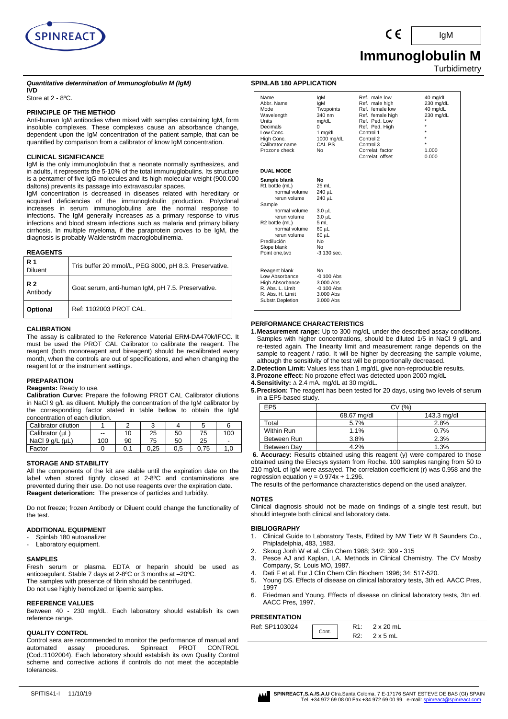

 **Immunoglobulin M Turbidimetry** 

IgM

*Quantitative determination of Immunoglobulin M (IgM)* **IVD**

Store at 2 - 8ºC.

# **PRINCIPLE OF THE METHOD**

Anti-human IgM antibodies when mixed with samples containing IgM, form insoluble complexes. These complexes cause an absorbance change, dependent upon the IgM concentration of the patient sample, that can be quantified by comparison from a calibrator of know IgM concentration.

# **CLINICAL SIGNIFICANCE**

IgM is the only immunoglobulin that a neonate normally synthesizes, and in adults, it represents the 5-10% of the total immunuglobulins. Its structure is a pentamer of five IgG molecules and its high molecular weight (900.000 daltons) prevents its passage into extravascular spaces.

IgM concentration is decreased in diseases related with hereditary or acquired deficiencies of the immunoglobulin production. Polyclonal increases in serum immunoglobulins are the normal response to infections. The IgM generally increases as a primary response to virus infections and blood stream infections such as malaria and primary biliary cirrhosis. In multiple myeloma, if the paraprotein proves to be IgM, the diagnosis is probably Waldenström macroglobulinemia.

## **REAGENTS**

| R 1<br><b>Diluent</b> | Tris buffer 20 mmol/L, PEG 8000, pH 8.3. Preservative. |
|-----------------------|--------------------------------------------------------|
| R 2<br>Antibody       | Goat serum, anti-human IqM, pH 7.5. Preservative.      |
| <b>Optional</b>       | Ref: 1102003 PROT CAL.                                 |

#### **CALIBRATION**

The assay is calibrated to the Reference Material ERM-DA470k/IFCC. It must be used the PROT CAL Calibrator to calibrate the reagent. The reagent (both monoreagent and bireagent) should be recalibrated every month, when the controls are out of specifications, and when changing the reagent lot or the instrument settings.

#### **PREPARATION**

#### **Reagents:** Ready to use.

**Calibration Curve:** Prepare the following PROT CAL Calibrator dilutions in NaCl 9 g/L as diluent. Multiply the concentration of the IgM calibrator by the corresponding factor stated in table bellow to obtain the IgM concentration of each dilution.

| Calibrator dilution     |       |     |      |     |      |     |
|-------------------------|-------|-----|------|-----|------|-----|
| Calibrator (µL)         | $- -$ | 10  | 25   | 50  | 75   | 100 |
| NaCl $9$ q/L ( $\mu$ L) | 100   | 90  | 75   | 50  | 25   | -   |
| Factor                  |       | 0.1 | 0.25 | 0.5 | 0.75 | 1.0 |

## **STORAGE AND STABILITY**

All the components of the kit are stable until the expiration date on the label when stored tightly closed at 2-8ºC and contaminations are prevented during their use. Do not use reagents over the expiration date. **Reagent deterioration:** The presence of particles and turbidity.

Do not freeze; frozen Antibody or Diluent could change the functionality of the test.

#### **ADDITIONAL EQUIPMENT**

- Spinlab 180 autoanalizer
- Laboratory equipment.

#### **SAMPLES**

Fresh serum or plasma. EDTA or heparin should be used as anticoagulant. Stable 7 days at 2-8ºC or 3 months at –20ºC. The samples with presence of fibrin should be centrifuged. Do not use highly hemolized or lipemic samples.

#### **REFERENCE VALUES**

Between 40 - 230 mg/dL. Each laboratory should establish its own reference range.

#### **QUALITY CONTROL**

Control sera are recommended to monitor the performance of manual and<br>automated assay procedures. Spinreact PROT CONTROL automated assay procedures. Spinreact PROT CONTROL (Cod.:1102004). Each laboratory should establish its own Quality Control scheme and corrective actions if controls do not meet the acceptable tolerances.

#### **SPINLAB 180 APPLICATION**

| Name<br>Abbr. Name<br>Mode<br>Wavelength<br>Units<br>Decimals<br>Low Conc.<br>High Conc.<br>Calibrator name<br>Prozone check                                                                                              | lgM<br>lgM<br>Twopoints<br>340 nm<br>mg/dL<br>0<br>1 mg/dL<br>1000 mg/dL<br>CAL PS<br>N <sub>0</sub>                                                                        | Ref. male low<br>Ref. male high<br>Ref. female low<br>Ref. female high<br>Ref. Ped. Low<br>Ref. Ped. High<br>Control 1<br>Control 2<br>Control 3<br>Correlat, factor<br>Correlat. offset | 40 mg/dL<br>230 mg/dL<br>40 mg/dL<br>230 mg/dL<br>$\star$<br>$\star$<br>÷<br>1.000<br>0.000 |
|---------------------------------------------------------------------------------------------------------------------------------------------------------------------------------------------------------------------------|-----------------------------------------------------------------------------------------------------------------------------------------------------------------------------|------------------------------------------------------------------------------------------------------------------------------------------------------------------------------------------|---------------------------------------------------------------------------------------------|
| <b>DUAL MODE</b>                                                                                                                                                                                                          |                                                                                                                                                                             |                                                                                                                                                                                          |                                                                                             |
| Sample blank<br>R1 bottle (mL)<br>normal volume<br>rerun volume<br>Sample<br>normal volume<br>rerun volume<br>R <sub>2</sub> bottle (mL)<br>normal volume<br>rerun volume<br>Predilución<br>Slope blank<br>Point one, two | <b>No</b><br>$25 \text{ mL}$<br>240 µL<br>240 uL<br>$3.0 \mu L$<br>$3.0 \mu L$<br>5 mL<br>$60$ $\mu$ L<br>$60$ $\mu$ L<br>N <sub>0</sub><br>N <sub>0</sub><br>$-3.130$ sec. |                                                                                                                                                                                          |                                                                                             |
| Reagent blank<br>Low Absorbance<br>High Absorbance<br>R. Abs. L. Limit<br>R. Abs. H. Limit<br>Substr.Depletion                                                                                                            | No<br>$-0.100$ Abs<br>3.000 Abs<br>$-0.100$ Abs<br>3.000 Abs<br>3.000 Abs                                                                                                   |                                                                                                                                                                                          |                                                                                             |

## **PERFORMANCE CHARACTERISTICS**

- **1.Measurement range:** Up to 300 mg/dL under the described assay conditions. Samples with higher concentrations, should be diluted 1/5 in NaCl 9 g/L and re-tested again. The linearity limit and measurement range depends on the sample to reagent / ratio. It will be higher by decreasing the sample volume, although the sensitivity of the test will be proportionally decreased.
- **2.Detection Limit:** Values less than 1 mg/dL give non-reproducible results.
- **3.Prozone effect:** No prozone effect was detected upon 2000 mg/dL
- **4.Sensitivity:** ∆ 2.4 mA. mg/dL at 30 mg/dL.

**5.Precision:** The reagent has been tested for 20 days, using two levels of serum in a EP5-based study.

| EP5         | (% )                       |      |  |  |
|-------------|----------------------------|------|--|--|
|             | 143.3 mg/dl<br>68.67 mg/dl |      |  |  |
| Total       | 5.7%                       | 2.8% |  |  |
| Within Run  | 1.1%                       | 0.7% |  |  |
| Between Run | 3.8%                       | 2.3% |  |  |
| Between Dav | 4.2%                       | 1.3% |  |  |

**6. Accuracy:** Results obtained using this reagent (y) were compared to those obtained using the Elecsys system from Roche. 100 samples ranging from 50 to 210 mg/dL of IgM were assayed. The correlation coefficient (r) was 0.958 and the regression equation  $y = 0.974x + 1.296$ .

The results of the performance characteristics depend on the used analyzer.

#### **NOTES**

Clinical diagnosis should not be made on findings of a single test result, but should integrate both clinical and laboratory data.

#### **BIBLIOGRAPHY**

- 1. Clinical Guide to Laboratory Tests, Edited by NW Tietz W B Saunders Co., Phipladelphia, 483, 1983.
- 2. Skoug Jonh W et al. Clin Chem 1988; 34/2: 309 315
- Pesce AJ and Kaplan, LA. Methods in Clinical Chemistry. The CV Mosby Company, St. Louis MO, 1987.
- 4. Dati F et al. Eur J Clin Chem Clin Biochem 1996; 34: 517-520.
- 5. Young DS. Effects of disease on clinical laboratory tests, 3th ed. AACC Pres, 1997
- 6. Friedman and Young. Effects of disease on clinical laboratory tests, 3tn ed. AACC Pres, 1997.

# **PRESENTATION**

| <u>IILULIILUIVIN</u> |       |     |                 |
|----------------------|-------|-----|-----------------|
| Ref: SP1103024       |       |     | 2 x 20 mL       |
|                      | Cont. | R2: | $2 \times 5$ mL |

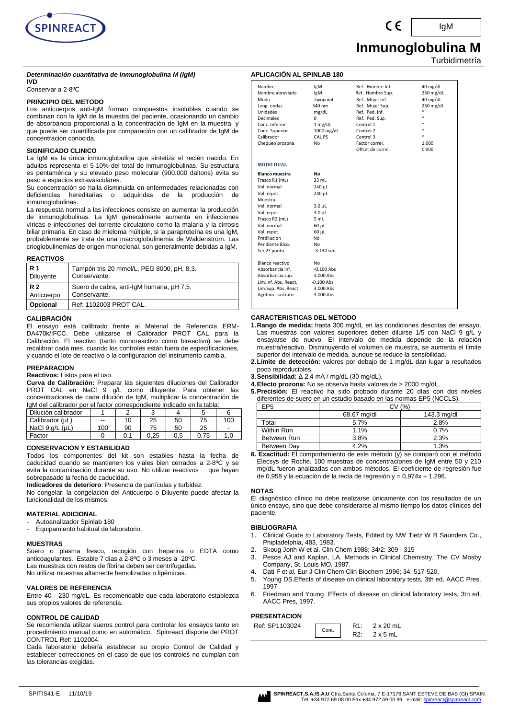

 **Inmunoglobulina M**

Turbidimetría

IgM

#### *Determinación cuantitativa de Inmunoglobulina M (IgM)* **IVD**

Conservar a 2-8ºC

#### **PRINCIPIO DEL METODO**

Los anticuerpos anti-IgM forman compuestos insolubles cuando se combinan con la IgM de la muestra del paciente, ocasionando un cambio de absorbancia proporcional a la concentración de IgM en la muestra, y que puede ser cuantificada por comparación con un calibrador de IgM de concentración conocida.

#### **SIGNIFICADO CLINICO**

La IgM es la única inmunoglobulina que sintetiza el recién nacido. En adultos representa el 5-10% del total de inmunoglobulinas. Su estructura es pentamérica y su elevado peso molecular (900.000 daltons) evita su paso a espacios extravasculares.

Su concentración se halla disminuida en enfermedades relacionadas con deficiencias hereditarias o adquiridas de la producción de adquiridas de la producción de inmunoglobulinas.

La respuesta normal a las infecciones consiste en aumentar la producción de inmunoglobulinas. La IgM generalmente aumenta en infecciones víricas e infecciones del torrente circulatorio como la malaria y la cirrosis biliar primaria. En caso de mieloma múltiple, si la paraproteína es una IgM, probablemente se trata de una macroglobulinemia de Waldenström. Las crioglobulinemias de origen monoclonal, son generalmente debidas a IgM.

#### **REACTIVOS**

| l R 1      | Tampón tris 20 mmol/L, PEG 8000, pH, 8,3. |
|------------|-------------------------------------------|
| Diluyente  | Conservante.                              |
| <b>R2</b>  | Suero de cabra, anti-IgM humana, pH 7,5.  |
| Anticuerpo | Conservante.                              |
| Opcional   | Ref: 1102003 PROT CAL.                    |

#### **CALIBRACIÓN**

El ensayo está calibrado frente al Material de Referencia ERM-DA470k/IFCC. Debe utilizarse el Calibrador PROT CAL para la Calibración. El reactivo (tanto monoreactivo como bireactivo) se debe recalibrar cada mes, cuando los controles están fuera de especificaciones, y cuando el lote de reactivo o la configuración del instrumento cambia.

#### **PREPARACION**

**Reactivos:** Listos para el uso.

**Curva de Calibración:** Preparar las siguientes diluciones del Calibrador PROT CAL en NaCl 9 g/L como diluyente. Para obtener las concentraciones de cada dilución de IgM, multiplicar la concentración de IgM del calibrador por el factor correspondiente indicado en la tabla:

| Dilución calibrador     |     |    |      |     |    |     |
|-------------------------|-----|----|------|-----|----|-----|
| Calibrador (µL)         | --  |    | 25   | 50  | 75 | 100 |
| NaCl $9$ q/L ( $\mu$ L) | 100 | 90 | 75   | 50  | 25 | -   |
| Factor                  |     |    | 0.25 | 0.5 |    |     |

#### **CONSERVACION Y ESTABILIDAD**

Todos los componentes del kit son estables hasta la fecha de caducidad cuando se mantienen los viales bien cerrados a 2-8ºC y se evita la contaminación durante su uso. No utilizar reactivos que hayan sobrepasado la fecha de caducidad.

**Indicadores de deterioro**: Presencia de partículas y turbidez.

No congelar; la congelación del Anticuerpo o Diluyente puede afectar la funcionalidad de los mismos.

#### **MATERIAL ADICIONAL**

- Autoanalizador Spinlab 180
- Equipamiento habitual de laboratorio.

#### **MUESTRAS**

Suero o plasma fresco, recogido con heparina o EDTA como anticoagulantes. Estable 7 días a 2-8ºC o 3 meses a -20ºC. Las muestras con restos de fibrina deben ser centrifugadas. No utilizar muestras altamente hemolizadas o lipémicas.

#### **VALORES DE REFERENCIA**

Entre 40 - 230 mg/dL. Es recomendable que cada laboratorio establezca sus propios valores de referencia.

#### **CONTROL DE CALIDAD**

Se recomienda utilizar sueros control para controlar los ensayos tanto en procedimiento manual como en automático. Spinreact dispone del PROT CONTROL Ref: 1102004.

Cada laboratorio debería establecer su propio Control de Calidad y establecer correcciones en el caso de que los controles no cumplan con las tolerancias exigidas.

| Nombre                | lgM                | Ref. Hombre Inf.  | 40 mg/dL  |
|-----------------------|--------------------|-------------------|-----------|
| Nombre abreviado      | lgM                | Ref. Hombre Sup.  | 230 mg/dL |
| Modo                  | Twopoint           | Ref. Mujer Inf.   | 40 mg/dL  |
| Long. ondas           | 340 nm             | Ref. Mujer Sup.   | 230 mg/dL |
| Unidades              | mg/dL              | Ref. Ped. Inf.    |           |
| <b>Decimales</b>      | 0                  | Ref. Ped. Sup.    | ×.        |
| Conc. Inferior        | 1 mg/dL            | Control 1         |           |
| Conc. Superior        | 1000 mg/dL         | Control 2         |           |
| Calibrador            | CAL PS             | Control 3         |           |
| Chequeo prozona       | No                 | Factor correl.    | 1.000     |
|                       |                    | Offset de correl. | 0.000     |
| <b>MODO DUAL</b>      |                    |                   |           |
| <b>Blanco muestra</b> | No                 |                   |           |
| Frasco R1 (mL)        | 25 mL              |                   |           |
| Vol. normal           | 240 µL             |                   |           |
| Vol. repet.           | 240 µL             |                   |           |
| Muestra               |                    |                   |           |
| Vol. normal           | $3.0 \mu L$        |                   |           |
| Vol. repet.           | 3.0 <sub>µ</sub> L |                   |           |
| Frasco R2 (mL)        | 5 mL               |                   |           |
| Vol. normal           | 60 µL              |                   |           |
| Vol. repet.           | 60 µL              |                   |           |
| Predilución           | No                 |                   |           |
| Pendiente Blco.       | No                 |                   |           |
| 1er,2º punto          | $-3.130$ sec.      |                   |           |
| Blanco reactivo       | No                 |                   |           |
| Absorbancia inf.      | $-0.100$ Abs       |                   |           |
| Absorbancia sup.      | 3.000 Abs          |                   |           |
| Lim.Inf. Abs. React.  | $-0.100$ Abs       |                   |           |
| Lim.Sup. Abs. React.  | 3.000 Abs          |                   |           |
| Agotam. sustrato      | 3.000 Abs          |                   |           |

#### **CARACTERISTICAS DEL METODO**

**1.Rango de medida:** hasta 300 mg/dL en las condiciones descritas del ensayo. Las muestras con valores superiores deben diluirse 1/5 con NaCl 9 g/L y ensayarse de nuevo. El intervalo de medida depende de la relación muestra/reactivo. Disminuyendo el volumen de muestra, se aumenta el límite superior del intervalo de medida, aunque se reduce la sensibilidad.

- **2.Límite de detección:** valores por debajo de 1 mg/dL dan lugar a resultados poco reproducibles.
- **3.Sensibilidad:** Δ 2,4 mA / mg/dL (30 mg/dL).
- **4.Efecto prozona:** No se observa hasta valores de > 2000 mg/dL.
- **5.Precisión:** El reactivo ha sido probado durante 20 días con dos niveles diferentes de suero en un estudio basado en las normas EP5 (NCCLS).

| EP <sub>5</sub> | (% )        |             |  |  |  |
|-----------------|-------------|-------------|--|--|--|
|                 | 68.67 mg/dl | 143.3 mg/dl |  |  |  |
| Total           | 5.7%        | 2.8%        |  |  |  |
| Within Run      | 1.1%        | 0.7%        |  |  |  |
| Between Run     | 3.8%        | 2.3%        |  |  |  |
| Between Day     | 4.2%        | 1.3%        |  |  |  |

**6. Exactitud:** El comportamiento de este método (y) se comparó con el método Elecsys de Roche. 100 muestras de concentraciones de IgM entre 50 y 210 mg/dL fueron analizadas con ambos métodos. El coeficiente de regresión fue de 0,958 y la ecuación de la recta de regresión y =  $0,974x + 1,296$ .

#### **NOTAS**

El diagnóstico clínico no debe realizarse únicamente con los resultados de un único ensayo, sino que debe considerarse al mismo tiempo los datos clínicos del paciente.

#### **BIBLIOGRAFIA**

- 1. Clinical Guide to Laboratory Tests, Edited by NW Tietz W B Saunders Co., Phipladelphia, 483, 1983.
- 2. Skoug Jonh W et al. Clin Chem 1988; 34/2: 309 315
- 3. Pesce AJ and Kaplan, LA. Methods in Clinical Chemistry. The CV Mosby Company, St. Louis MO, 1987.
- 4. Dati F et al. Eur J Clin Chem Clin Biochem 1996; 34: 517-520.
- 5. Young DS.Effects of disease on clinical laboratory tests, 3th ed. AACC Pres, 1997
- 6. Friedman and Young. Effects of disease on clinical laboratory tests, 3tn ed. AACC Pres, 1997.

# **PRESENTACION**

| .              |       |     |                  |
|----------------|-------|-----|------------------|
| Ref: SP1103024 | Cont. |     | $2 \times 20$ mL |
|                |       | R2: | $2 \times 5$ mL  |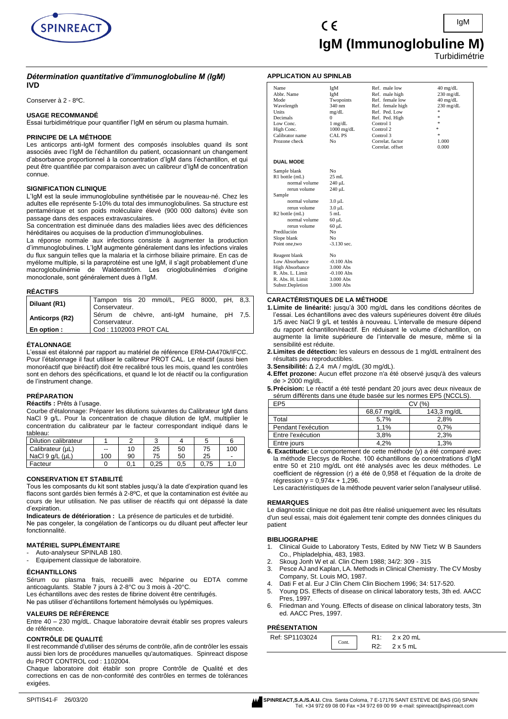

## *Détermination quantitative d'immunoglobuline M (IgM)* **IVD**

Conserver à 2 - 8ºC.

#### **USAGE RECOMMANDÉ**

Essai turbidimétrique pour quantifier l'IgM en sérum ou plasma humain.

#### **PRINCIPE DE LA MÉTHODE**

Les anticorps anti-IgM forment des composés insolubles quand ils sont associés avec l'IgM de l'échantillon du patient, occasionnant un changement d'absorbance proportionnel à la concentration d'IgM dans l'échantillon, et qui peut être quantifiée par comparaison avec un calibreur d'IgM de concentration connue.

#### **SIGNIFICATION CLINIQUE**

L'IgM est la seule immunoglobuline synthétisée par le nouveau-né. Chez les adultes elle représente 5-10% du total des immunoglobulines. Sa structure est pentamérique et son poids moléculaire élevé (900 000 daltons) évite son passage dans des espaces extravasculaires.

Sa concentration est diminuée dans des maladies liées avec des déficiences héréditaires ou acquises de la production d'immunoglobulines.

La réponse normale aux infections consiste à augmenter la production d'immunoglobulines. L'IgM augmente généralement dans les infections virales du flux sanguin telles que la malaria et la cirrhose biliaire primaire. En cas de myélome multiple, si la paraprotéine est une IgM, il s'agit probablement d'une macroglobulinémie de Waldenström. Les crioglobulinémies d'origine monoclonale, sont généralement dues à l'IgM.

#### **RÉACTIFS**

#### **ÉTALONNAGE**

L'essai est étalonné par rapport au matériel de référence ERM-DA470k/IFCC. Pour l'étalonnage il faut utiliser le calibreur PROT CAL. Le réactif (aussi bien monoréactif que biréactif) doit être recalibré tous les mois, quand les contrôles sont en dehors des spécifications, et quand le lot de réactif ou la configuration de l'instrument change.

# **PRÉPARATION**

**Réactifs :** Prêts à l'usage.

Courbe d'étalonnage: Préparer les dilutions suivantes du Calibrateur IgM dans NaCl 9 g/L. Pour la concentration de chaque dilution de IgM, multiplier le concentration du calibrateur par le facteur correspondant indiqué dans le tableau:

| Dilution calibrateur    |     |    |      |     |      |     |
|-------------------------|-----|----|------|-----|------|-----|
| Calibrateur (µL)        | $-$ | 10 | 25   | 50  | 75   | 100 |
| NaCl $9$ q/L ( $\mu$ L) | 100 | 90 | 75   | 50  | 25   | -   |
| Facteur                 |     |    | 0.25 | 0.5 | 0.75 |     |

#### **CONSERVATION ET STABILITÉ**

Tous les composants du kit sont stables jusqu'à la date d'expiration quand les flacons sont gardés bien fermés à 2-8ºC, et que la contamination est évitée au cours de leur utilisation. Ne pas utiliser de réactifs qui ont dépassé la date d'expiration.

**Indicateurs de détérioration :** La présence de particules et de turbidité. Ne pas congeler, la congélation de l'anticorps ou du diluant peut affecter leur fonctionnalité.

## **MATÉRIEL SUPPLÉMENTAIRE**

Auto-analyseur SPINLAB 180.

Equipement classique de laboratoire.

#### **ÉCHANTILLONS**

Sérum ou plasma frais, recueilli avec héparine ou EDTA comme anticoagulants. Stable 7 jours à 2-8°C ou 3 mois à -20°C. Les échantillons avec des restes de fibrine doivent être centrifugés.

Ne pas utiliser d'échantillons fortement hémolysés ou lypémiques.

#### **VALEURS DE RÉFÉRENCE**

Entre 40 – 230 mg/dL. Chaque laboratoire devrait établir ses propres valeurs de référence.

#### **CONTRÔLE DE QUALITÉ**

Il est recommandé d'utiliser des sérums de contrôle, afin de contrôler les essais aussi bien lors de procédures manuelles qu'automatiques. Spinreact dispose du PROT CONTROL cod : 1102004.

Chaque laboratoire doit établir son propre Contrôle de Qualité et des corrections en cas de non-conformité des contrôles en termes de tolérances exigées.

**Turbidimétrie** 

#### **APPLICATION AU SPINLAB**

| Name                          | IgM                           | Ref. male low          | $40 \text{ mg/dL}$  |
|-------------------------------|-------------------------------|------------------------|---------------------|
| Abbr. Name                    | IgM                           | Ref. male high         | $230 \text{ mg/dL}$ |
| Mode                          | Twopoints                     | Ref. female low        | $40 \text{ mg/dL}$  |
| Wavelength                    | 340 nm                        | Ref. female high       | $230$ mg/dL<br>冰    |
| Units<br>Decimals             | mg/dL                         | Ref. Ped. Low          | 永                   |
|                               | 0                             | Ref. Ped. High         | $\pm$               |
| Low Conc.                     | $1 \text{ mg/dL}$             | Control 1<br>Control 2 | ×.                  |
| High Conc.<br>Calibrator name | $1000$ mg/dL<br><b>CAL PS</b> | Control 3              | $\frac{1}{2\pi}$    |
| Prozone check                 | N <sub>0</sub>                | Correlat. factor       | 1.000               |
|                               |                               | Correlat. offset       | 0.000               |
|                               |                               |                        |                     |
| <b>DUAL MODE</b>              |                               |                        |                     |
| Sample blank                  | N <sub>o</sub>                |                        |                     |
| R1 bottle (mL)                | $25$ mL                       |                        |                     |
| normal volume                 | 240 µL                        |                        |                     |
| rerun volume                  | 240 µL                        |                        |                     |
| Sample                        |                               |                        |                     |
| normal volume                 | $3.0 \mu L$                   |                        |                     |
| rerun volume                  | $3.0 \mu L$                   |                        |                     |
| R <sub>2</sub> bottle (mL)    | 5mL                           |                        |                     |
| normal volume                 | $60 \mu L$                    |                        |                     |
| rerun volume                  | $60 \mu L$                    |                        |                     |
| Predilución                   | N <sub>o</sub>                |                        |                     |
| Slope blank                   | N <sub>0</sub>                |                        |                     |
| Point one, two                | $-3.130$ sec.                 |                        |                     |
| Reagent blank                 | N <sub>0</sub>                |                        |                     |
| Low Absorbance                | $-0.100$ Abs                  |                        |                     |
| <b>High Absorbance</b>        | 3.000 Abs                     |                        |                     |
| R. Abs. L. Limit              | $-0.100$ Abs                  |                        |                     |
| R. Abs. H. Limit              | 3.000 Abs                     |                        |                     |
| Substr.Depletion              | 3.000 Abs                     |                        |                     |
|                               |                               |                        |                     |

#### **CARACTÉRISTIQUES DE LA MÉTHODE**

- **1.Limite de linéarité:** jusqu'à 300 mg/dL dans les conditions décrites de l'essai. Les échantillons avec des valeurs supérieures doivent être dilués 1/5 avec NaCl 9 g/L et testés à nouveau. L'intervalle de mesure dépend du rapport échantillon/réactif. En réduisant le volume d'échantillon, on augmente la limite supérieure de l'intervalle de mesure, même si la sensibilité est réduite.
- **2.Limites de détection:** les valeurs en dessous de 1 mg/dL entraînent des résultats peu reproductibles.
- **3.Sensibilité:** Δ 2,4 mA / mg/dL (30 mg/dL).
- **4.Effet prozone:** Aucun effet prozone n'a été observé jusqu'à des valeurs de > 2000 mg/dL.
- **5.Précision:** Le réactif a été testé pendant 20 jours avec deux niveaux de sérum différents dans une étude basée sur les normes EP5 (NCCLS).

| EP5                 | CV (%)      |             |  |
|---------------------|-------------|-------------|--|
|                     | 68,67 mg/dL | 143,3 mg/dL |  |
| Total               | 5.7%        | 2.8%        |  |
| Pendant l'exécution | 1.1%        | 0.7%        |  |
| Entre l'exécution   | 3,8%        | 2,3%        |  |
| Entre jours         | 4.2%        | 1.3%        |  |

**6. Exactitude:** Le comportement de cette méthode (y) a été comparé avec la méthode Elecsys de Roche. 100 échantillons de concentrations d'IgM entre 50 et 210 mg/dL ont été analysés avec les deux méthodes. Le coefficient de régression (r) a été de 0,958 et l'équation de la droite de régression  $y = 0.974x + 1.296$ .

Les caractéristiques de la méthode peuvent varier selon l'analyseur utilisé.

#### **REMARQUES**

Le diagnostic clinique ne doit pas être réalisé uniquement avec les résultats d'un seul essai, mais doit également tenir compte des données cliniques du patient

#### **BIBLIOGRAPHIE**

- 1. Clinical Guide to Laboratory Tests, Edited by NW Tietz W B Saunders Co., Phipladelphia, 483, 1983.
- 2. Skoug Jonh W et al. Clin Chem 1988; 34/2: 309 315
- 3. Pesce AJ and Kaplan, LA. Methods in Clinical Chemistry. The CV Mosby
- Company, St. Louis MO, 1987.
- 4. Dati F et al. Eur J Clin Chem Clin Biochem 1996; 34: 517-520.
- 5. Young DS. Effects of disease on clinical laboratory tests, 3th ed. AACC Pres, 1997.
- 6. Friedman and Young. Effects of disease on clinical laboratory tests, 3tn ed. AACC Pres, 1997.

#### **PRÉSENTATION**

| .              |       |     |                |
|----------------|-------|-----|----------------|
| Ref: SP1103024 | Cont. |     | . v oc<br>ገ mL |
|                |       | 72. | ™ ⊼            |

SPITIS41-F 26/03/20 **SPINREACT,S.A./S.A.U.** Ctra. Santa Coloma, 7 E-17176 SANT ESTEVE DE BAS (GI) SPAIN Tel. +34 972 69 08 00 Fax +34 972 69 00 99 e-mail: spinreact@spinreact.com